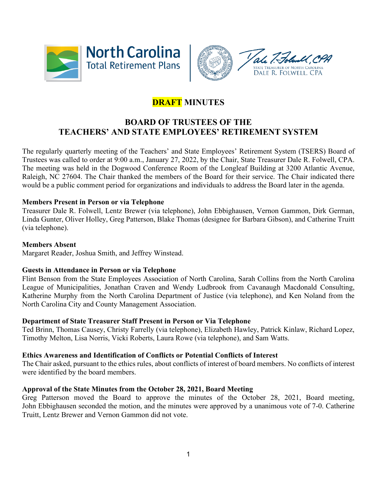



# **DRAFT MINUTES**

## **BOARD OF TRUSTEES OF THE TEACHERS' AND STATE EMPLOYEES' RETIREMENT SYSTEM**

The regularly quarterly meeting of the Teachers' and State Employees' Retirement System (TSERS) Board of Trustees was called to order at 9:00 a.m., January 27, 2022, by the Chair, State Treasurer Dale R. Folwell, CPA. The meeting was held in the Dogwood Conference Room of the Longleaf Building at 3200 Atlantic Avenue, Raleigh, NC 27604. The Chair thanked the members of the Board for their service. The Chair indicated there would be a public comment period for organizations and individuals to address the Board later in the agenda.

## **Members Present in Person or via Telephone**

Treasurer Dale R. Folwell, Lentz Brewer (via telephone), John Ebbighausen, Vernon Gammon, Dirk German, Linda Gunter, Oliver Holley, Greg Patterson, Blake Thomas (designee for Barbara Gibson), and Catherine Truitt (via telephone).

#### **Members Absent**

Margaret Reader, Joshua Smith, and Jeffrey Winstead.

#### **Guests in Attendance in Person or via Telephone**

Flint Benson from the State Employees Association of North Carolina, Sarah Collins from the North Carolina League of Municipalities, Jonathan Craven and Wendy Ludbrook from Cavanaugh Macdonald Consulting, Katherine Murphy from the North Carolina Department of Justice (via telephone), and Ken Noland from the North Carolina City and County Management Association.

## **Department of State Treasurer Staff Present in Person or Via Telephone**

Ted Brinn, Thomas Causey, Christy Farrelly (via telephone), Elizabeth Hawley, Patrick Kinlaw, Richard Lopez, Timothy Melton, Lisa Norris, Vicki Roberts, Laura Rowe (via telephone), and Sam Watts.

#### **Ethics Awareness and Identification of Conflicts or Potential Conflicts of Interest**

The Chair asked, pursuant to the ethics rules, about conflicts of interest of board members. No conflicts of interest were identified by the board members.

#### **Approval of the State Minutes from the October 28, 2021, Board Meeting**

Greg Patterson moved the Board to approve the minutes of the October 28, 2021, Board meeting, John Ebbighausen seconded the motion, and the minutes were approved by a unanimous vote of 7-0. Catherine Truitt, Lentz Brewer and Vernon Gammon did not vote.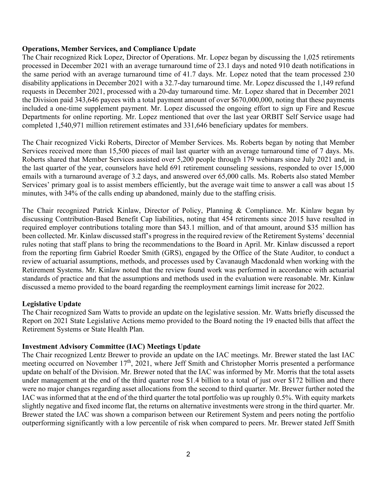#### **Operations, Member Services, and Compliance Update**

The Chair recognized Rick Lopez, Director of Operations. Mr. Lopez began by discussing the 1,025 retirements processed in December 2021 with an average turnaround time of 23.1 days and noted 910 death notifications in the same period with an average turnaround time of 41.7 days. Mr. Lopez noted that the team processed 230 disability applications in December 2021 with a 32.7-day turnaround time. Mr. Lopez discussed the 1,149 refund requests in December 2021, processed with a 20-day turnaround time. Mr. Lopez shared that in December 2021 the Division paid 343,646 payees with a total payment amount of over \$670,000,000, noting that these payments included a one-time supplement payment. Mr. Lopez discussed the ongoing effort to sign up Fire and Rescue Departments for online reporting. Mr. Lopez mentioned that over the last year ORBIT Self Service usage had completed 1,540,971 million retirement estimates and 331,646 beneficiary updates for members.

The Chair recognized Vicki Roberts, Director of Member Services. Ms. Roberts began by noting that Member Services received more than 15,500 pieces of mail last quarter with an average turnaround time of 7 days. Ms. Roberts shared that Member Services assisted over 5,200 people through 179 webinars since July 2021 and, in the last quarter of the year, counselors have held 691 retirement counseling sessions, responded to over 15,000 emails with a turnaround average of 3.2 days, and answered over 65,000 calls. Ms. Roberts also stated Member Services' primary goal is to assist members efficiently, but the average wait time to answer a call was about 15 minutes, with 34% of the calls ending up abandoned, mainly due to the staffing crisis.

The Chair recognized Patrick Kinlaw, Director of Policy, Planning & Compliance. Mr. Kinlaw began by discussing Contribution-Based Benefit Cap liabilities, noting that 454 retirements since 2015 have resulted in required employer contributions totaling more than \$43.1 million, and of that amount, around \$35 million has been collected. Mr. Kinlaw discussed staff's progress in the required review of the Retirement Systems' decennial rules noting that staff plans to bring the recommendations to the Board in April. Mr. Kinlaw discussed a report from the reporting firm Gabriel Roeder Smith (GRS), engaged by the Office of the State Auditor, to conduct a review of actuarial assumptions, methods, and processes used by Cavanaugh Macdonald when working with the Retirement Systems. Mr. Kinlaw noted that the review found work was performed in accordance with actuarial standards of practice and that the assumptions and methods used in the evaluation were reasonable. Mr. Kinlaw discussed a memo provided to the board regarding the reemployment earnings limit increase for 2022.

#### **Legislative Update**

The Chair recognized Sam Watts to provide an update on the legislative session. Mr. Watts briefly discussed the Report on 2021 State Legislative Actions memo provided to the Board noting the 19 enacted bills that affect the Retirement Systems or State Health Plan.

#### **Investment Advisory Committee (IAC) Meetings Update**

The Chair recognized Lentz Brewer to provide an update on the IAC meetings. Mr. Brewer stated the last IAC meeting occurred on November 17<sup>th</sup>, 2021, where Jeff Smith and Christopher Morris presented a performance update on behalf of the Division. Mr. Brewer noted that the IAC was informed by Mr. Morris that the total assets under management at the end of the third quarter rose \$1.4 billion to a total of just over \$172 billion and there were no major changes regarding asset allocations from the second to third quarter. Mr. Brewer further noted the IAC was informed that at the end of the third quarter the total portfolio was up roughly 0.5%. With equity markets slightly negative and fixed income flat, the returns on alternative investments were strong in the third quarter. Mr. Brewer stated the IAC was shown a comparison between our Retirement System and peers noting the portfolio outperforming significantly with a low percentile of risk when compared to peers. Mr. Brewer stated Jeff Smith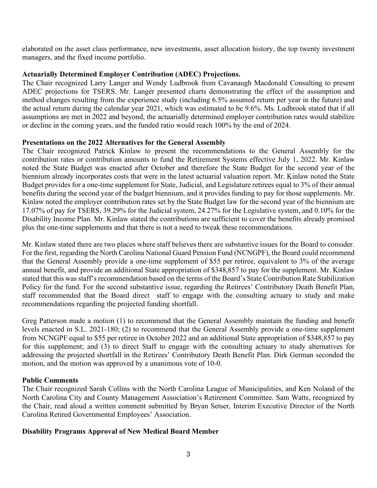elaborated on the asset class performance, new investments, asset allocation history, the top twenty investment managers, and the fixed income portfolio.

## **Actuarially Determined Employer Contribution (ADEC) Projections.**

The Chair recognized Larry Langer and Wendy Ludbrook from Cavanaugh Macdonald Consulting to present ADEC projections for TSERS. Mr. Langer presented charts demonstrating the effect of the assumption and method changes resulting from the experience study (including 6.5% assumed return per year in the future) and the actual return during the calendar year 2021, which was estimated to be 9.6%. Ms. Ludbrook stated that if all assumptions are met in 2022 and beyond, the actuarially determined employer contribution rates would stabilize or decline in the coming years, and the funded ratio would reach 100% by the end of 2024.

## **Presentations on the 2022 Alternatives for the General Assembly**

The Chair recognized Patrick Kinlaw to present the recommendations to the General Assembly for the contribution rates or contribution amounts to fund the Retirement Systems effective July 1, 2022. Mr. Kinlaw noted the State Budget was enacted after October and therefore the State Budget for the second year of the biennium already incorporates costs that were in the latest actuarial valuation report. Mr. Kinlaw noted the State Budget provides for a one-time supplement for State, Judicial, and Legislature retirees equal to 3% of their annual benefits during the second year of the budget biennium, and it provides funding to pay for those supplements. Mr. Kinlaw noted the employer contribution rates set by the State Budget law for the second year of the biennium are 17.07% of pay for TSERS, 39.29% for the Judicial system, 24.27% for the Legislative system, and 0.10% for the Disability Income Plan. Mr. Kinlaw stated the contributions are sufficient to cover the benefits already promised plus the one-time supplements and that there is not a need to tweak these recommendations.

Mr. Kinlaw stated there are two places where staff believes there are substantive issues for the Board to consider. For the first, regarding the North Carolina National Guard Pension Fund (NCNGPF), the Board could recommend that the General Assembly provide a one-time supplement of \$55 per retiree, equivalent to 3% of the average annual benefit, and provide an additional State appropriation of \$348,857 to pay for the supplement. Mr. Kinlaw stated that this was staff's recommendation based on the terms of the Board's State Contribution Rate Stabilization Policy for the fund. For the second substantive issue, regarding the Retirees' Contributory Death Benefit Plan, staff recommended that the Board direct staff to engage with the consulting actuary to study and make recommendations regarding the projected funding shortfall.

Greg Patterson made a motion (1) to recommend that the General Assembly maintain the funding and benefit levels enacted in S.L. 2021-180; (2) to recommend that the General Assembly provide a one-time supplement from NCNGPF equal to \$55 per retiree in October 2022 and an additional State appropriation of \$348,857 to pay for this supplement; and (3) to direct Staff to engage with the consulting actuary to study alternatives for addressing the projected shortfall in the Retirees' Contributory Death Benefit Plan. Dirk German seconded the motion, and the motion was approved by a unanimous vote of 10-0.

## **Public Comments**

The Chair recognized Sarah Collins with the North Carolina League of Municipalities, and Ken Noland of the North Carolina City and County Management Association's Retirement Committee. Sam Watts, recognized by the Chair, read aloud a written comment submitted by Bryan Setser, Interim Executive Director of the North Carolina Retired Governmental Employees' Association.

## **Disability Programs Approval of New Medical Board Member**